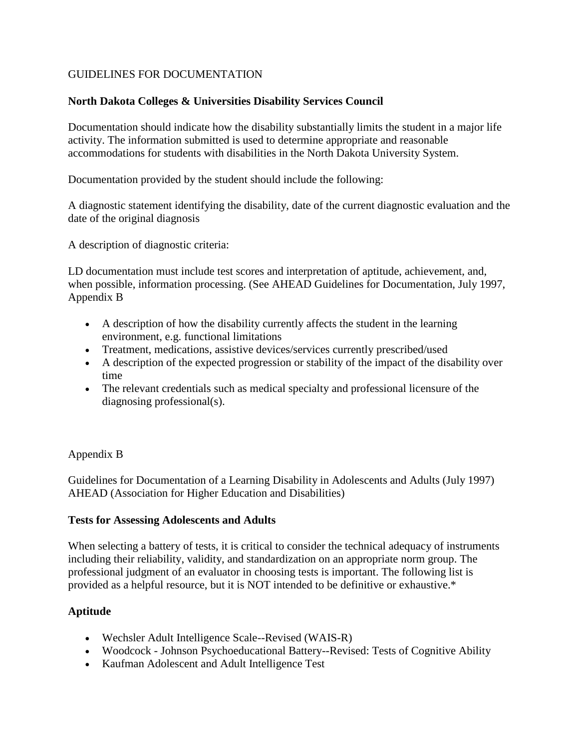# GUIDELINES FOR DOCUMENTATION

## **North Dakota Colleges & Universities Disability Services Council**

Documentation should indicate how the disability substantially limits the student in a major life activity. The information submitted is used to determine appropriate and reasonable accommodations for students with disabilities in the North Dakota University System.

Documentation provided by the student should include the following:

A diagnostic statement identifying the disability, date of the current diagnostic evaluation and the date of the original diagnosis

A description of diagnostic criteria:

LD documentation must include test scores and interpretation of aptitude, achievement, and, when possible, information processing. (See AHEAD Guidelines for Documentation, July 1997, Appendix B

- A description of how the disability currently affects the student in the learning environment, e.g. functional limitations
- Treatment, medications, assistive devices/services currently prescribed/used
- A description of the expected progression or stability of the impact of the disability over time
- The relevant credentials such as medical specialty and professional licensure of the diagnosing professional(s).

### Appendix B

Guidelines for Documentation of a Learning Disability in Adolescents and Adults (July 1997) AHEAD (Association for Higher Education and Disabilities)

### **Tests for Assessing Adolescents and Adults**

When selecting a battery of tests, it is critical to consider the technical adequacy of instruments including their reliability, validity, and standardization on an appropriate norm group. The professional judgment of an evaluator in choosing tests is important. The following list is provided as a helpful resource, but it is NOT intended to be definitive or exhaustive.\*

### **Aptitude**

- Wechsler Adult Intelligence Scale--Revised (WAIS-R)
- Woodcock Johnson Psychoeducational Battery--Revised: Tests of Cognitive Ability
- Kaufman Adolescent and Adult Intelligence Test